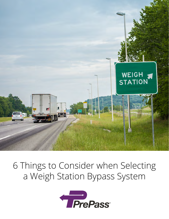

## 6 Things to Consider when Selecting a Weigh Station Bypass System

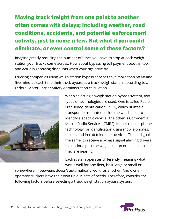### Moving truck freight from one point to another often comes with delays; including weather, road conditions, accidents, and potential enforcement activity, just to name a few. But what if you could eliminate, or even control some of these factors?

Imagine greatly reducing the number of times you have to stop at each weigh station your trucks come across. How about bypassing toll payment booths, too, and actually receiving discounts when your rigs drive by.

Trucking companies using weigh station bypass services save more than \$8.68 and five minutes each time their truck bypasses a truck weigh station, according to a Federal Motor Carrier Safety Administration calculation.



When selecting a weigh station bypass system, two types of technologies are used. One is called Radio Frequency Identification (RFID), which utilizes a transponder mounted inside the windshield to identify a specific vehicle. The other is Commercial Mobile Radio Services (CMRS). It uses cellular phone technology for identification using mobile phones, tablets and in-cab telematics devices. The end goal is the same: to receive a bypass signal alerting drivers to continue past the weigh station or inspection site they are nearing.

Each system operates differently, meaning what works well for one fleet, be it large or small or

somewhere in between, doesn't automatically work for another. And owneroperator truckers have their own unique sets of needs. Therefore, consider the following factors before selecting a truck weigh station bypass system.

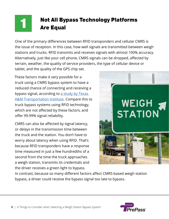#### Not All Bypass Technology Platforms Are Equal 1

One of the primary differences between RFID transponders and cellular CMRS is the issue of reception. In this case, how well signals are transmitted between weigh stations and trucks. RFID transmits and receives signals with almost 100% accuracy. Alternatively, just like your cell phone, CMRS signals can be dropped, affected by terrain, weather, the quality of service providers, the type of cellular device or tablet, and the quality of the GPS chip set.

These factors make it very possible for a truck using a CMRS bypass system to have a reduced chance of connecting and receiving a bypass signal, according to a study by Texas [A&M Transportation Institute.](http://go.prepass.com/WP-2018-11-19-Compare-Weigh-Station-Bypass-Tech_LP-Form.html) Compare this to truck bypass systems using RFID technology, which are not affected by these factors, and offer 99.99% signal reliability.

CMRS can also be affected by signal latency, or delays in the transmission time between the truck and the station. You don't have to worry about latency when using RFID. That's because RFID transponders have a response time measured in just a few hundredths of a second from the time the truck approaches a weigh station, transmits its credentials and the driver receives a green light to bypass.



In contrast, because so many different factors affect CMRS-based weigh station bypass, a driver could receive the bypass signal too late to bypass.

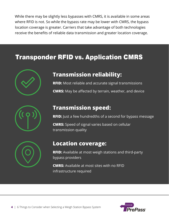While there may be slightly less bypasses with CMRS, it is available in some areas where RFID is not. So while the bypass rate may be lower with CMRS, the bypass location coverage is greater. Carriers that take advantage of both technologies receive the benefits of reliable data transmission and greater location coverage.

### Transponder RFID vs. Application CMRS



### **Transmission reliability:**

**RFID:** Most reliable and accurate signal transmissions **CMRS:** May be affected by terrain, weather, and device



### **Transmission speed:**

**RFID:** Just a few hundredths of a second for bypass message

**CMRS:** Speed of signal varies based on cellular transmission quality



### **Location coverage:**

**RFID:** Available at most weigh stations and third-party bypass providers

**CMRS:** Available at most sites with no RFID infrastructure required

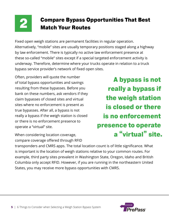# **Compare Bypass Opportunities That Best<br>Match Your Routes**

Fixed open weigh stations are permanent facilities in regular operation. Alternatively, "mobile" sites are usually temporary positions staged along a highway by law enforcement. There is typically no active law enforcement presence at these so-called "mobile" sites except if a special targeted enforcement activity is underway. Therefore, determine where your trucks operate in relation to a truck bypass service provider's network of fixed open sites.

Often, providers will quote the number of total bypass opportunities and savings resulting from these bypasses. Before you bank on these numbers, ask vendors if they claim bypasses of closed sites and virtual sites where no enforcement is present as true bypasses. After all, a bypass is not really a bypass if the weigh station is closed or there is no enforcement presence to operate a "virtual" site.

When considering location coverage, compare coverage offered through RFID

A bypass is not really a bypass if the weigh station is closed or there is no enforcement presence to operate a "virtual" site.

transponders and CMRS apps. The total location count is of little significance. What is important is the location of weigh stations relative to your common routes. For example, third party sites prevalent in Washington State, Oregon, Idaho and British Columbia only accept RFID. However, if you are running in the northeastern United States, you may receive more bypass opportunities with CMRS.

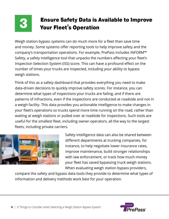

# **Ensure Safety Data is Available to Improve Your Fleet's Operation**

Weigh station bypass systems can do much more for a fleet than save time and money. Some systems offer reporting tools to help improve safety and the company's transportation operations. For example, PrePass includes INFORM™ Safety, a safety intelligence tool that unpacks the numbers affecting your fleet's Inspection Selection System (ISS) score. This can have a profound effect on the number of times your trucks are inspected, including your ability to bypass weigh stations.

Think of this as a safety dashboard that provides everything you need to make data-driven decisions to quickly improve safety scores. For instance, you can determine what types of inspections your trucks are failing, and if there are patterns of infractions, even if the inspections are conducted at roadside and not in a weigh facility. This data provides you actionable intelligence to make changes in your fleet's operations so trucks spend more time running on the road, rather than waiting at weigh stations or pulled over at roadside for inspections. Such tools are useful for the smallest fleet, including owner-operators, all the way to the largest fleets, including private carriers.



Safety intelligence data can also be shared between different departments at trucking companies, for instance, to help negotiate lower insurance rates, improve maintenance, build stronger relationships with law enforcement, or track how much money your fleet has saved bypassing truck weigh stations. When evaluating weigh station bypass providers,

compare the safety and bypass data tools they provide to determine what types of information and delivery methods work best for your operation.

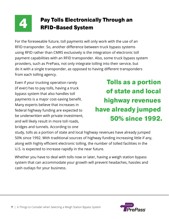

# Pay Tolls Electronically Through an<br>RFID-Based System

For the foreseeable future, toll payments will only work with the use of an RFID transponder. So, another difference between truck bypass systems using RFID rather than CMRS exclusively is the integration of electronic toll payment capabilities with an RFID transponder. Also, some truck bypass system providers, such as PrePass, not only integrate tolling into their service, but do it with a single transponder, as opposed to having different transponders from each tolling agency.

Even if your trucking operation rarely (if ever) has to pay tolls, having a truck bypass system that also handles toll payments is a major cost-saving benefit. Many experts believe that increases in federal highway funding are expected to be underwritten with private investment, and will likely result in more toll roads, bridges and tunnels. According to one

Tolls as a portion of state and local highway revenues have already jumped 50% since 1992.

study, tolls as a portion of state and local highway revenues have already jumped 50% since 1992. With traditional sources of highway funding increasing little if any, along with highly efficient electronic tolling, the number of tolled facilities in the U.S. is expected to increase rapidly in the near future.

Whether you have to deal with tolls now or later, having a weigh station bypass system that can accommodate your growth will prevent headaches, hassles and cash outlays for your business.

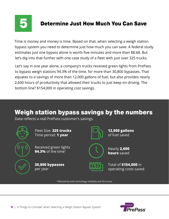

### Determine Just How Much You Can Save

Time is money and money is time. Based on that, when selecting a weigh station bypass system you need to determine just how much you can save. A federal study estimates just one bypass alone is worth five minutes and more than \$8.68. But let's dig into that further with one case study of a fleet with just over 325 trucks.

Let's say in one year alone, a company's trucks received green lights from PrePass to bypass weigh stations 94.3% of the time, for more than 30,800 bypasses. That equates to a savings of more than 12,000 gallons of fuel, but also provides nearly 2,600 hours of productivity that allowed their trucks to just keep on driving. The bottom line? \$154,000 in operating cost savings.

### Weigh station bypass savings by the numbers

Data reflects a real PrePass customer's savings.



Fleet Size: **325 trucks** Time period: **1 year**

Received green lights **94.3%** of the time\*

**30,800 bypasses** per year



**12,000 gallons** of fuel saved



Nearly **2,600 hours** saved



Total of **\$154,000** in operating costs saved

\*Affected by both technology reliability and ISS scores

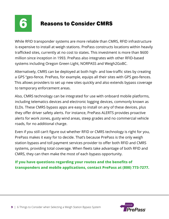

### 6 Reasons to Consider CMRS

While RFID transponder systems are more reliable than CMRS, RFID infrastructure is expensive to install at weigh stations. PrePass constructs locations within heavily trafficked sites, currently at no cost to states. This investment is more than \$600 million since inception in 1993. PrePass also integrates with other RFID-based systems including Oregon Green Light, NORPASS and Weigh2GoBC.

Alternatively, CMRS can be deployed at both high- and low-traffic sites by creating a GPS "geo-fence. PrePass, for example, equips all their sites with GPS geo-fences. This allows providers to set up new sites quickly and also extends bypass coverage to temporary enforcement areas.

Also, CMRS technology can be integrated for use with onboard mobile platforms, including telematics devices and electronic logging devices, commonly known as ELDs. These CMRS bypass apps are easy to install on any of these devices, plus they offer driver safety alerts. For instance, PrePass ALERTS provides proactive alerts for work zones, gusty wind areas, steep grades and no commercial vehicle roads, for no additional charge.

Even if you still can't figure out whether RFID or CMRS technology is right for you, PrePass makes it easy for to decide. That's because PrePass is the only weigh station bypass and toll payment services provider to offer both RFID and CMRS systems, providing total coverage. When fleets take advantage of both RFID and CMRS, they can then make the most of each bypass opportunity.

#### **If you have questions regarding your routes and the benefits of transponders and mobile applications, contact PrePass at (800) 773-7277.**